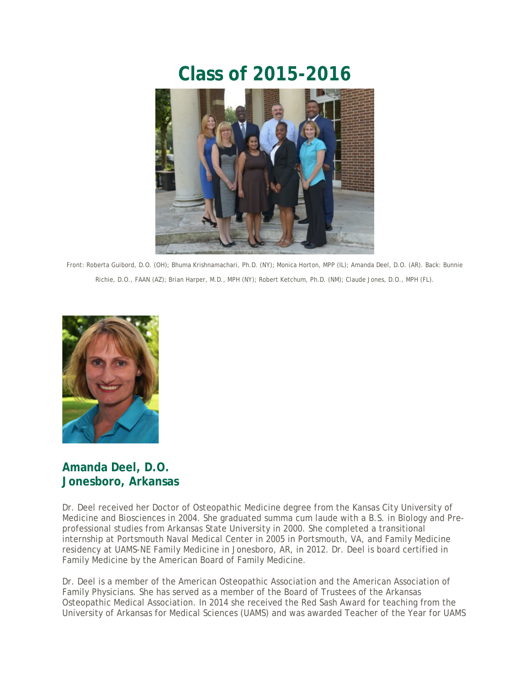# **Class of 2015-2016**



Front: Roberta Guibord, D.O. (OH); Bhuma Krishnamachari, Ph.D. (NY); Monica Horton, MPP (IL); Amanda Deel, D.O. (AR). Back: Bunnie Richie, D.O., FAAN (AZ); Brian Harper, M.D., MPH (NY); Robert Ketchum, Ph.D. (NM); Claude Jones, D.O., MPH (FL).



### **Amanda Deel, D.O. Jonesboro, Arkansas**

Dr. Deel received her Doctor of Osteopathic Medicine degree from the Kansas City University of Medicine and Biosciences in 2004. She graduated summa cum laude with a B.S. in Biology and Preprofessional studies from Arkansas State University in 2000. She completed a transitional internship at Portsmouth Naval Medical Center in 2005 in Portsmouth, VA, and Family Medicine residency at UAMS-NE Family Medicine in Jonesboro, AR, in 2012. Dr. Deel is board certified in Family Medicine by the American Board of Family Medicine.

Dr. Deel is a member of the American Osteopathic Association and the American Association of Family Physicians. She has served as a member of the Board of Trustees of the Arkansas Osteopathic Medical Association. In 2014 she received the Red Sash Award for teaching from the University of Arkansas for Medical Sciences (UAMS) and was awarded Teacher of the Year for UAMS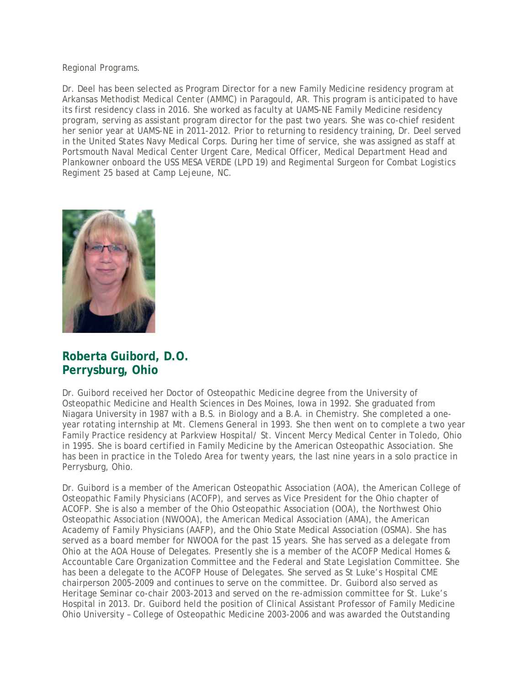Regional Programs.

Dr. Deel has been selected as Program Director for a new Family Medicine residency program at Arkansas Methodist Medical Center (AMMC) in Paragould, AR. This program is anticipated to have its first residency class in 2016. She worked as faculty at UAMS-NE Family Medicine residency program, serving as assistant program director for the past two years. She was co-chief resident her senior year at UAMS-NE in 2011-2012. Prior to returning to residency training, Dr. Deel served in the United States Navy Medical Corps. During her time of service, she was assigned as staff at Portsmouth Naval Medical Center Urgent Care, Medical Officer, Medical Department Head and Plankowner onboard the USS MESA VERDE (LPD 19) and Regimental Surgeon for Combat Logistics Regiment 25 based at Camp Lejeune, NC.



#### **Roberta Guibord, D.O. Perrysburg, Ohio**

Dr. Guibord received her Doctor of Osteopathic Medicine degree from the University of Osteopathic Medicine and Health Sciences in Des Moines, Iowa in 1992. She graduated from Niagara University in 1987 with a B.S. in Biology and a B.A. in Chemistry. She completed a oneyear rotating internship at Mt. Clemens General in 1993. She then went on to complete a two year Family Practice residency at Parkview Hospital/ St. Vincent Mercy Medical Center in Toledo, Ohio in 1995. She is board certified in Family Medicine by the American Osteopathic Association. She has been in practice in the Toledo Area for twenty years, the last nine years in a solo practice in Perrysburg, Ohio.

Dr. Guibord is a member of the American Osteopathic Association (AOA), the American College of Osteopathic Family Physicians (ACOFP), and serves as Vice President for the Ohio chapter of ACOFP. She is also a member of the Ohio Osteopathic Association (OOA), the Northwest Ohio Osteopathic Association (NWOOA), the American Medical Association (AMA), the American Academy of Family Physicians (AAFP), and the Ohio State Medical Association (OSMA). She has served as a board member for NWOOA for the past 15 years. She has served as a delegate from Ohio at the AOA House of Delegates. Presently she is a member of the ACOFP Medical Homes & Accountable Care Organization Committee and the Federal and State Legislation Committee. She has been a delegate to the ACOFP House of Delegates. She served as St Luke's Hospital CME chairperson 2005-2009 and continues to serve on the committee. Dr. Guibord also served as Heritage Seminar co-chair 2003-2013 and served on the re-admission committee for St. Luke's Hospital in 2013. Dr. Guibord held the position of Clinical Assistant Professor of Family Medicine Ohio University – College of Osteopathic Medicine 2003-2006 and was awarded the Outstanding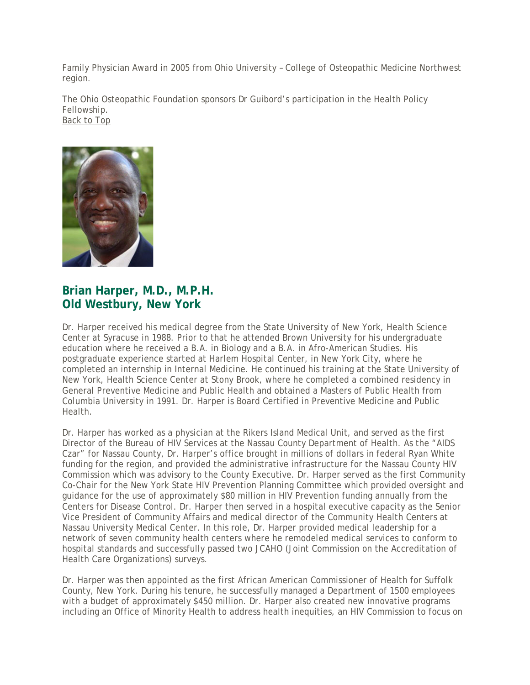Family Physician Award in 2005 from Ohio University – College of Osteopathic Medicine Northwest region.

The Ohio Osteopathic Foundation sponsors Dr Guibord's participation in the Health Policy Fellowship. [Back to Top](https://author.oit.ohio.edu/medicine/education/graduate-education/fellowship-programs/health-policy/current-class.cfm?cs_pgIsInLView=1#TOP)



### **Brian Harper, M.D., M.P.H. Old Westbury, New York**

Dr. Harper received his medical degree from the State University of New York, Health Science Center at Syracuse in 1988. Prior to that he attended Brown University for his undergraduate education where he received a B.A. in Biology and a B.A. in Afro-American Studies. His postgraduate experience started at Harlem Hospital Center, in New York City, where he completed an internship in Internal Medicine. He continued his training at the State University of New York, Health Science Center at Stony Brook, where he completed a combined residency in General Preventive Medicine and Public Health and obtained a Masters of Public Health from Columbia University in 1991. Dr. Harper is Board Certified in Preventive Medicine and Public **Health** 

Dr. Harper has worked as a physician at the Rikers Island Medical Unit, and served as the first Director of the Bureau of HIV Services at the Nassau County Department of Health. As the "AIDS Czar" for Nassau County, Dr. Harper's office brought in millions of dollars in federal Ryan White funding for the region, and provided the administrative infrastructure for the Nassau County HIV Commission which was advisory to the County Executive. Dr. Harper served as the first Community Co-Chair for the New York State HIV Prevention Planning Committee which provided oversight and guidance for the use of approximately \$80 million in HIV Prevention funding annually from the Centers for Disease Control. Dr. Harper then served in a hospital executive capacity as the Senior Vice President of Community Affairs and medical director of the Community Health Centers at Nassau University Medical Center. In this role, Dr. Harper provided medical leadership for a network of seven community health centers where he remodeled medical services to conform to hospital standards and successfully passed two JCAHO (Joint Commission on the Accreditation of Health Care Organizations) surveys.

Dr. Harper was then appointed as the first African American Commissioner of Health for Suffolk County, New York. During his tenure, he successfully managed a Department of 1500 employees with a budget of approximately \$450 million. Dr. Harper also created new innovative programs including an Office of Minority Health to address health inequities, an HIV Commission to focus on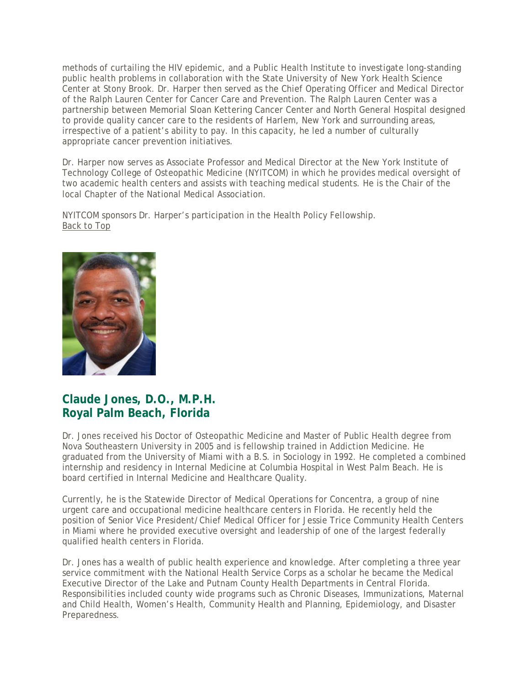methods of curtailing the HIV epidemic, and a Public Health Institute to investigate long-standing public health problems in collaboration with the State University of New York Health Science Center at Stony Brook. Dr. Harper then served as the Chief Operating Officer and Medical Director of the Ralph Lauren Center for Cancer Care and Prevention. The Ralph Lauren Center was a partnership between Memorial Sloan Kettering Cancer Center and North General Hospital designed to provide quality cancer care to the residents of Harlem, New York and surrounding areas, irrespective of a patient's ability to pay. In this capacity, he led a number of culturally appropriate cancer prevention initiatives.

Dr. Harper now serves as Associate Professor and Medical Director at the New York Institute of Technology College of Osteopathic Medicine (NYITCOM) in which he provides medical oversight of two academic health centers and assists with teaching medical students. He is the Chair of the local Chapter of the National Medical Association.

NYITCOM sponsors Dr. Harper's participation in the Health Policy Fellowship. [Back to Top](https://author.oit.ohio.edu/medicine/education/graduate-education/fellowship-programs/health-policy/current-class.cfm?cs_pgIsInLView=1#TOP)



### **Claude Jones, D.O., M.P.H. Royal Palm Beach, Florida**

Dr. Jones received his Doctor of Osteopathic Medicine and Master of Public Health degree from Nova Southeastern University in 2005 and is fellowship trained in Addiction Medicine. He graduated from the University of Miami with a B.S. in Sociology in 1992. He completed a combined internship and residency in Internal Medicine at Columbia Hospital in West Palm Beach. He is board certified in Internal Medicine and Healthcare Quality.

Currently, he is the Statewide Director of Medical Operations for Concentra, a group of nine urgent care and occupational medicine healthcare centers in Florida. He recently held the position of Senior Vice President/Chief Medical Officer for Jessie Trice Community Health Centers in Miami where he provided executive oversight and leadership of one of the largest federally qualified health centers in Florida.

Dr. Jones has a wealth of public health experience and knowledge. After completing a three year service commitment with the National Health Service Corps as a scholar he became the Medical Executive Director of the Lake and Putnam County Health Departments in Central Florida. Responsibilities included county wide programs such as Chronic Diseases, Immunizations, Maternal and Child Health, Women's Health, Community Health and Planning, Epidemiology, and Disaster Preparedness.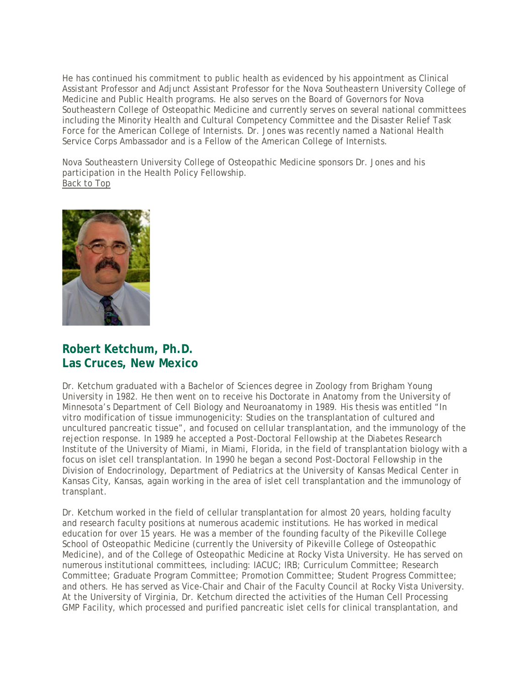He has continued his commitment to public health as evidenced by his appointment as Clinical Assistant Professor and Adjunct Assistant Professor for the Nova Southeastern University College of Medicine and Public Health programs. He also serves on the Board of Governors for Nova Southeastern College of Osteopathic Medicine and currently serves on several national committees including the Minority Health and Cultural Competency Committee and the Disaster Relief Task Force for the American College of Internists. Dr. Jones was recently named a National Health Service Corps Ambassador and is a Fellow of the American College of Internists.

Nova Southeastern University College of Osteopathic Medicine sponsors Dr. Jones and his participation in the Health Policy Fellowship. [Back to Top](https://author.oit.ohio.edu/medicine/education/graduate-education/fellowship-programs/health-policy/current-class.cfm?cs_pgIsInLView=1#TOP)



#### **Robert Ketchum, Ph.D. Las Cruces, New Mexico**

Dr. Ketchum graduated with a Bachelor of Sciences degree in Zoology from Brigham Young University in 1982. He then went on to receive his Doctorate in Anatomy from the University of Minnesota's Department of Cell Biology and Neuroanatomy in 1989. His thesis was entitled "In vitro modification of tissue immunogenicity: Studies on the transplantation of cultured and uncultured pancreatic tissue", and focused on cellular transplantation, and the immunology of the rejection response. In 1989 he accepted a Post-Doctoral Fellowship at the Diabetes Research Institute of the University of Miami, in Miami, Florida, in the field of transplantation biology with a focus on islet cell transplantation. In 1990 he began a second Post-Doctoral Fellowship in the Division of Endocrinology, Department of Pediatrics at the University of Kansas Medical Center in Kansas City, Kansas, again working in the area of islet cell transplantation and the immunology of transplant.

Dr. Ketchum worked in the field of cellular transplantation for almost 20 years, holding faculty and research faculty positions at numerous academic institutions. He has worked in medical education for over 15 years. He was a member of the founding faculty of the Pikeville College School of Osteopathic Medicine (currently the University of Pikeville College of Osteopathic Medicine), and of the College of Osteopathic Medicine at Rocky Vista University. He has served on numerous institutional committees, including: IACUC; IRB; Curriculum Committee; Research Committee; Graduate Program Committee; Promotion Committee; Student Progress Committee; and others. He has served as Vice-Chair and Chair of the Faculty Council at Rocky Vista University. At the University of Virginia, Dr. Ketchum directed the activities of the Human Cell Processing GMP Facility, which processed and purified pancreatic islet cells for clinical transplantation, and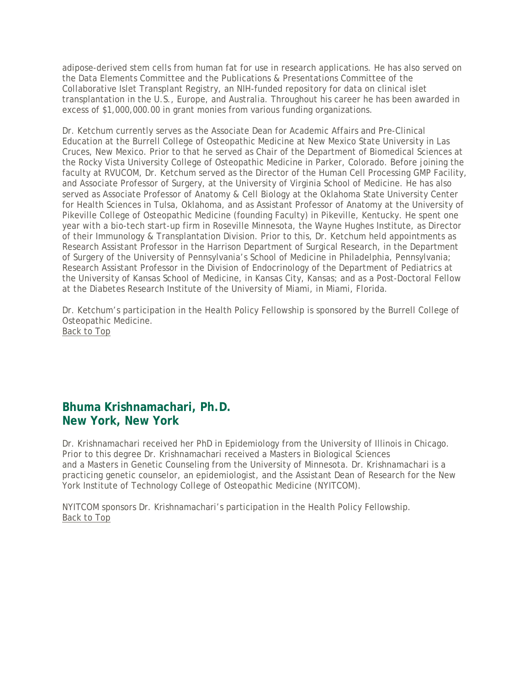adipose-derived stem cells from human fat for use in research applications. He has also served on the Data Elements Committee and the Publications & Presentations Committee of the Collaborative Islet Transplant Registry, an NIH-funded repository for data on clinical islet transplantation in the U.S., Europe, and Australia. Throughout his career he has been awarded in excess of \$1,000,000.00 in grant monies from various funding organizations.

Dr. Ketchum currently serves as the Associate Dean for Academic Affairs and Pre-Clinical Education at the Burrell College of Osteopathic Medicine at New Mexico State University in Las Cruces, New Mexico. Prior to that he served as Chair of the Department of Biomedical Sciences at the Rocky Vista University College of Osteopathic Medicine in Parker, Colorado. Before joining the faculty at RVUCOM, Dr. Ketchum served as the Director of the Human Cell Processing GMP Facility, and Associate Professor of Surgery, at the University of Virginia School of Medicine. He has also served as Associate Professor of Anatomy & Cell Biology at the Oklahoma State University Center for Health Sciences in Tulsa, Oklahoma, and as Assistant Professor of Anatomy at the University of Pikeville College of Osteopathic Medicine (founding Faculty) in Pikeville, Kentucky. He spent one year with a bio-tech start-up firm in Roseville Minnesota, the Wayne Hughes Institute, as Director of their Immunology & Transplantation Division. Prior to this, Dr. Ketchum held appointments as Research Assistant Professor in the Harrison Department of Surgical Research, in the Department of Surgery of the University of Pennsylvania's School of Medicine in Philadelphia, Pennsylvania; Research Assistant Professor in the Division of Endocrinology of the Department of Pediatrics at the University of Kansas School of Medicine, in Kansas City, Kansas; and as a Post-Doctoral Fellow at the Diabetes Research Institute of the University of Miami, in Miami, Florida.

Dr. Ketchum's participation in the Health Policy Fellowship is sponsored by the Burrell College of Osteopathic Medicine. [Back to Top](https://author.oit.ohio.edu/medicine/education/graduate-education/fellowship-programs/health-policy/current-class.cfm?cs_pgIsInLView=1#TOP)

### **Bhuma Krishnamachari, Ph.D. New York, New York**

Dr. Krishnamachari received her PhD in Epidemiology from the University of Illinois in Chicago. Prior to this degree Dr. Krishnamachari received a Masters in Biological Sciences and a Masters in Genetic Counseling from the University of Minnesota. Dr. Krishnamachari is a practicing genetic counselor, an epidemiologist, and the Assistant Dean of Research for the New York Institute of Technology College of Osteopathic Medicine (NYITCOM).

NYITCOM sponsors Dr. Krishnamachari's participation in the Health Policy Fellowship. [Back to Top](https://author.oit.ohio.edu/medicine/education/graduate-education/fellowship-programs/health-policy/current-class.cfm?cs_pgIsInLView=1#TOP)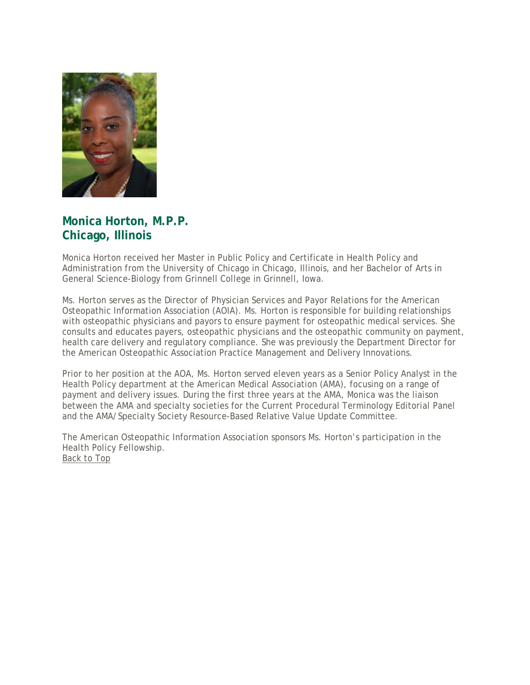

## **Monica Horton, M.P.P. Chicago, Illinois**

Monica Horton received her Master in Public Policy and Certificate in Health Policy and Administration from the University of Chicago in Chicago, Illinois, and her Bachelor of Arts in General Science-Biology from Grinnell College in Grinnell, Iowa.

Ms. Horton serves as the Director of Physician Services and Payor Relations for the American Osteopathic Information Association (AOIA). Ms. Horton is responsible for building relationships with osteopathic physicians and payors to ensure payment for osteopathic medical services. She consults and educates payers, osteopathic physicians and the osteopathic community on payment, health care delivery and regulatory compliance. She was previously the Department Director for the American Osteopathic Association Practice Management and Delivery Innovations.

Prior to her position at the AOA, Ms. Horton served eleven years as a Senior Policy Analyst in the Health Policy department at the American Medical Association (AMA), focusing on a range of payment and delivery issues. During the first three years at the AMA, Monica was the liaison between the AMA and specialty societies for the Current Procedural Terminology Editorial Panel and the AMA/Specialty Society Resource-Based Relative Value Update Committee.

The American Osteopathic Information Association sponsors Ms. Horton's participation in the Health Policy Fellowship. [Back to Top](https://author.oit.ohio.edu/medicine/education/graduate-education/fellowship-programs/health-policy/current-class.cfm?cs_pgIsInLView=1#TOP)